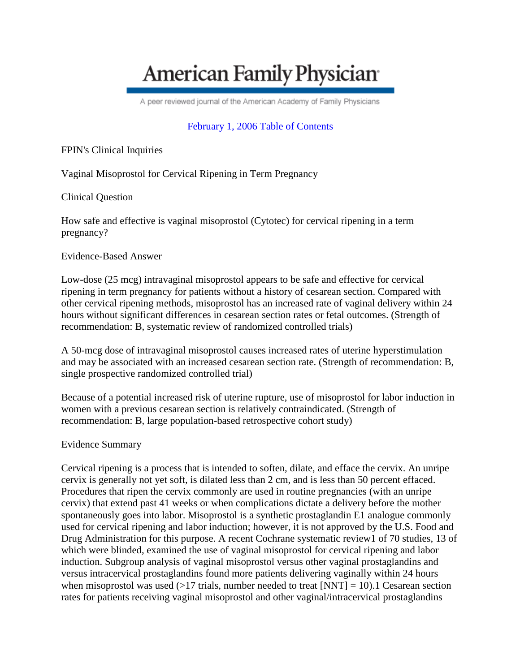# **American Family Physician**

A peer reviewed journal of the American Academy of Family Physicians

## [February 1, 2006 Table of Contents](http://www.aafp.org/afp/20060201/)

FPIN's Clinical Inquiries

Vaginal Misoprostol for Cervical Ripening in Term Pregnancy

Clinical Question

How safe and effective is vaginal misoprostol (Cytotec) for cervical ripening in a term pregnancy?

Evidence-Based Answer

Low-dose (25 mcg) intravaginal misoprostol appears to be safe and effective for cervical ripening in term pregnancy for patients without a history of cesarean section. Compared with other cervical ripening methods, misoprostol has an increased rate of vaginal delivery within 24 hours without significant differences in cesarean section rates or fetal outcomes. (Strength of recommendation: B, systematic review of randomized controlled trials)

A 50-mcg dose of intravaginal misoprostol causes increased rates of uterine hyperstimulation and may be associated with an increased cesarean section rate. (Strength of recommendation: B, single prospective randomized controlled trial)

Because of a potential increased risk of uterine rupture, use of misoprostol for labor induction in women with a previous cesarean section is relatively contraindicated. (Strength of recommendation: B, large population-based retrospective cohort study)

Evidence Summary

Cervical ripening is a process that is intended to soften, dilate, and efface the cervix. An unripe cervix is generally not yet soft, is dilated less than 2 cm, and is less than 50 percent effaced. Procedures that ripen the cervix commonly are used in routine pregnancies (with an unripe cervix) that extend past 41 weeks or when complications dictate a delivery before the mother spontaneously goes into labor. Misoprostol is a synthetic prostaglandin E1 analogue commonly used for cervical ripening and labor induction; however, it is not approved by the U.S. Food and Drug Administration for this purpose. A recent Cochrane systematic review1 of 70 studies, 13 of which were blinded, examined the use of vaginal misoprostol for cervical ripening and labor induction. Subgroup analysis of vaginal misoprostol versus other vaginal prostaglandins and versus intracervical prostaglandins found more patients delivering vaginally within 24 hours when misoprostol was used  $(>17 \text{ trials}, \text{number needed to treat } [NNT] = 10)$ . Cesarean section rates for patients receiving vaginal misoprostol and other vaginal/intracervical prostaglandins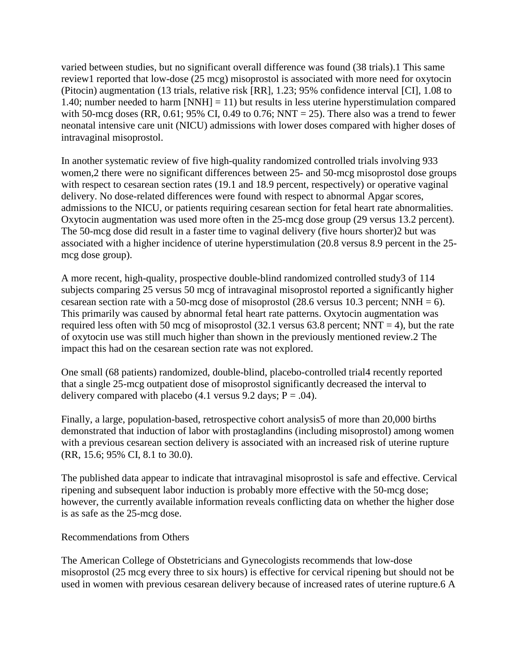varied between studies, but no significant overall difference was found (38 trials).1 This same review1 reported that low-dose (25 mcg) misoprostol is associated with more need for oxytocin (Pitocin) augmentation (13 trials, relative risk [RR], 1.23; 95% confidence interval [CI], 1.08 to 1.40; number needed to harm  $[NNH] = 11$ ) but results in less uterine hyperstimulation compared with 50-mcg doses (RR, 0.61; 95% CI, 0.49 to 0.76; NNT = 25). There also was a trend to fewer neonatal intensive care unit (NICU) admissions with lower doses compared with higher doses of intravaginal misoprostol.

In another systematic review of five high-quality randomized controlled trials involving 933 women,2 there were no significant differences between 25- and 50-mcg misoprostol dose groups with respect to cesarean section rates (19.1 and 18.9 percent, respectively) or operative vaginal delivery. No dose-related differences were found with respect to abnormal Apgar scores, admissions to the NICU, or patients requiring cesarean section for fetal heart rate abnormalities. Oxytocin augmentation was used more often in the 25-mcg dose group (29 versus 13.2 percent). The 50-mcg dose did result in a faster time to vaginal delivery (five hours shorter)2 but was associated with a higher incidence of uterine hyperstimulation (20.8 versus 8.9 percent in the 25 mcg dose group).

A more recent, high-quality, prospective double-blind randomized controlled study3 of 114 subjects comparing 25 versus 50 mcg of intravaginal misoprostol reported a significantly higher cesarean section rate with a 50-mcg dose of misoprostol (28.6 versus 10.3 percent; NNH = 6). This primarily was caused by abnormal fetal heart rate patterns. Oxytocin augmentation was required less often with 50 mcg of misoprostol (32.1 versus 63.8 percent; NNT = 4), but the rate of oxytocin use was still much higher than shown in the previously mentioned review.2 The impact this had on the cesarean section rate was not explored.

One small (68 patients) randomized, double-blind, placebo-controlled trial4 recently reported that a single 25-mcg outpatient dose of misoprostol significantly decreased the interval to delivery compared with placebo (4.1 versus 9.2 days;  $P = .04$ ).

Finally, a large, population-based, retrospective cohort analysis5 of more than 20,000 births demonstrated that induction of labor with prostaglandins (including misoprostol) among women with a previous cesarean section delivery is associated with an increased risk of uterine rupture (RR, 15.6; 95% CI, 8.1 to 30.0).

The published data appear to indicate that intravaginal misoprostol is safe and effective. Cervical ripening and subsequent labor induction is probably more effective with the 50-mcg dose; however, the currently available information reveals conflicting data on whether the higher dose is as safe as the 25-mcg dose.

#### Recommendations from Others

The American College of Obstetricians and Gynecologists recommends that low-dose misoprostol (25 mcg every three to six hours) is effective for cervical ripening but should not be used in women with previous cesarean delivery because of increased rates of uterine rupture.6 A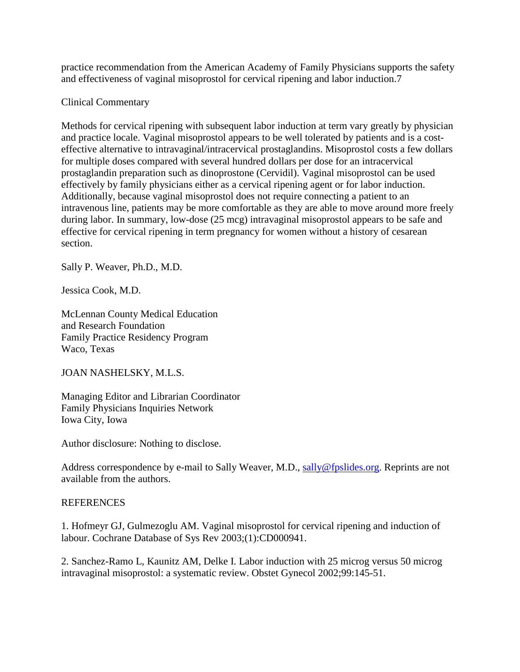practice recommendation from the American Academy of Family Physicians supports the safety and effectiveness of vaginal misoprostol for cervical ripening and labor induction.7

### Clinical Commentary

Methods for cervical ripening with subsequent labor induction at term vary greatly by physician and practice locale. Vaginal misoprostol appears to be well tolerated by patients and is a costeffective alternative to intravaginal/intracervical prostaglandins. Misoprostol costs a few dollars for multiple doses compared with several hundred dollars per dose for an intracervical prostaglandin preparation such as dinoprostone (Cervidil). Vaginal misoprostol can be used effectively by family physicians either as a cervical ripening agent or for labor induction. Additionally, because vaginal misoprostol does not require connecting a patient to an intravenous line, patients may be more comfortable as they are able to move around more freely during labor. In summary, low-dose (25 mcg) intravaginal misoprostol appears to be safe and effective for cervical ripening in term pregnancy for women without a history of cesarean section.

Sally P. Weaver, Ph.D., M.D.

Jessica Cook, M.D.

McLennan County Medical Education and Research Foundation Family Practice Residency Program Waco, Texas

JOAN NASHELSKY, M.L.S.

Managing Editor and Librarian Coordinator Family Physicians Inquiries Network Iowa City, Iowa

Author disclosure: Nothing to disclose.

Address correspondence by e-mail to Sally Weaver, M.D., [sally@fpslides.org.](mailto:sally@fpslides.org) Reprints are not available from the authors.

#### REFERENCES

1. Hofmeyr GJ, Gulmezoglu AM. Vaginal misoprostol for cervical ripening and induction of labour. Cochrane Database of Sys Rev 2003;(1):CD000941.

2. Sanchez-Ramo L, Kaunitz AM, Delke I. Labor induction with 25 microg versus 50 microg intravaginal misoprostol: a systematic review. Obstet Gynecol 2002;99:145-51.